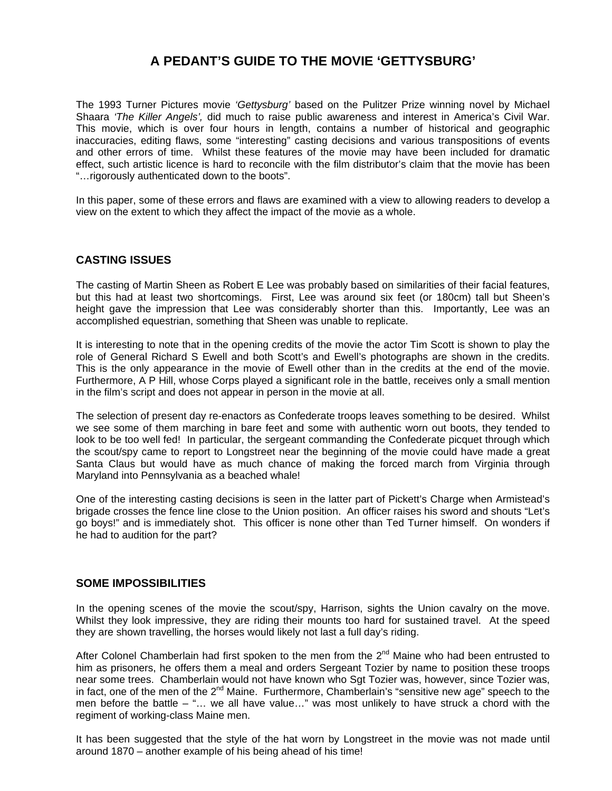# **A PEDANT'S GUIDE TO THE MOVIE 'GETTYSBURG'**

The 1993 Turner Pictures movie *'Gettysburg'* based on the Pulitzer Prize winning novel by Michael Shaara *'The Killer Angels',* did much to raise public awareness and interest in America's Civil War. This movie, which is over four hours in length, contains a number of historical and geographic inaccuracies, editing flaws, some "interesting" casting decisions and various transpositions of events and other errors of time. Whilst these features of the movie may have been included for dramatic effect, such artistic licence is hard to reconcile with the film distributor's claim that the movie has been "…rigorously authenticated down to the boots".

In this paper, some of these errors and flaws are examined with a view to allowing readers to develop a view on the extent to which they affect the impact of the movie as a whole.

#### **CASTING ISSUES**

The casting of Martin Sheen as Robert E Lee was probably based on similarities of their facial features, but this had at least two shortcomings. First, Lee was around six feet (or 180cm) tall but Sheen's height gave the impression that Lee was considerably shorter than this. Importantly, Lee was an accomplished equestrian, something that Sheen was unable to replicate.

It is interesting to note that in the opening credits of the movie the actor Tim Scott is shown to play the role of General Richard S Ewell and both Scott's and Ewell's photographs are shown in the credits. This is the only appearance in the movie of Ewell other than in the credits at the end of the movie. Furthermore, A P Hill, whose Corps played a significant role in the battle, receives only a small mention in the film's script and does not appear in person in the movie at all.

The selection of present day re-enactors as Confederate troops leaves something to be desired. Whilst we see some of them marching in bare feet and some with authentic worn out boots, they tended to look to be too well fed! In particular, the sergeant commanding the Confederate picquet through which the scout/spy came to report to Longstreet near the beginning of the movie could have made a great Santa Claus but would have as much chance of making the forced march from Virginia through Maryland into Pennsylvania as a beached whale!

One of the interesting casting decisions is seen in the latter part of Pickett's Charge when Armistead's brigade crosses the fence line close to the Union position. An officer raises his sword and shouts "Let's go boys!" and is immediately shot. This officer is none other than Ted Turner himself. On wonders if he had to audition for the part?

#### **SOME IMPOSSIBILITIES**

In the opening scenes of the movie the scout/spy, Harrison, sights the Union cavalry on the move. Whilst they look impressive, they are riding their mounts too hard for sustained travel. At the speed they are shown travelling, the horses would likely not last a full day's riding.

After Colonel Chamberlain had first spoken to the men from the  $2<sup>nd</sup>$  Maine who had been entrusted to him as prisoners, he offers them a meal and orders Sergeant Tozier by name to position these troops near some trees. Chamberlain would not have known who Sgt Tozier was, however, since Tozier was, in fact, one of the men of the  $2^{nd}$  Maine. Furthermore, Chamberlain's "sensitive new age" speech to the men before the battle – "… we all have value…" was most unlikely to have struck a chord with the regiment of working-class Maine men.

It has been suggested that the style of the hat worn by Longstreet in the movie was not made until around 1870 – another example of his being ahead of his time!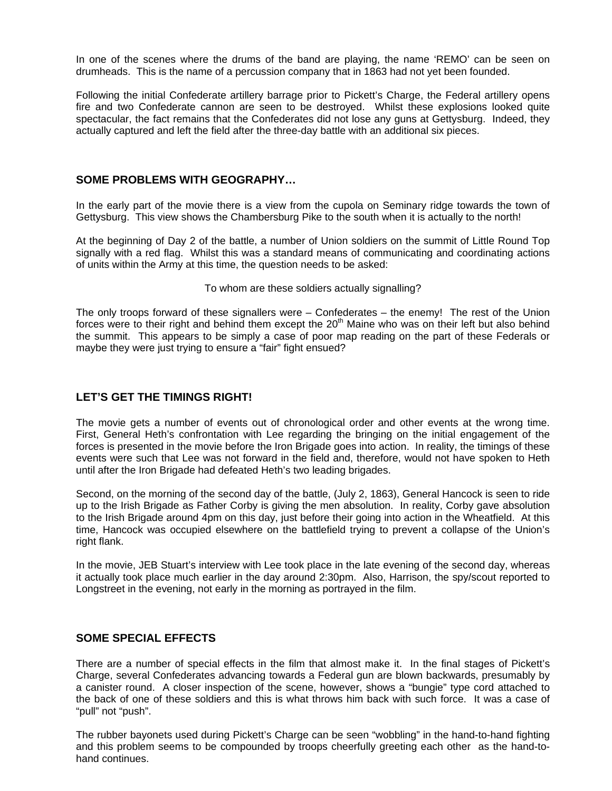In one of the scenes where the drums of the band are playing, the name 'REMO' can be seen on drumheads. This is the name of a percussion company that in 1863 had not yet been founded.

Following the initial Confederate artillery barrage prior to Pickett's Charge, the Federal artillery opens fire and two Confederate cannon are seen to be destroyed. Whilst these explosions looked quite spectacular, the fact remains that the Confederates did not lose any guns at Gettysburg. Indeed, they actually captured and left the field after the three-day battle with an additional six pieces.

#### **SOME PROBLEMS WITH GEOGRAPHY…**

In the early part of the movie there is a view from the cupola on Seminary ridge towards the town of Gettysburg. This view shows the Chambersburg Pike to the south when it is actually to the north!

At the beginning of Day 2 of the battle, a number of Union soldiers on the summit of Little Round Top signally with a red flag. Whilst this was a standard means of communicating and coordinating actions of units within the Army at this time, the question needs to be asked:

To whom are these soldiers actually signalling?

The only troops forward of these signallers were – Confederates – the enemy! The rest of the Union forces were to their right and behind them except the 20<sup>th</sup> Maine who was on their left but also behind the summit. This appears to be simply a case of poor map reading on the part of these Federals or maybe they were just trying to ensure a "fair" fight ensued?

## **LET'S GET THE TIMINGS RIGHT!**

The movie gets a number of events out of chronological order and other events at the wrong time. First, General Heth's confrontation with Lee regarding the bringing on the initial engagement of the forces is presented in the movie before the Iron Brigade goes into action. In reality, the timings of these events were such that Lee was not forward in the field and, therefore, would not have spoken to Heth until after the Iron Brigade had defeated Heth's two leading brigades.

Second, on the morning of the second day of the battle, (July 2, 1863), General Hancock is seen to ride up to the Irish Brigade as Father Corby is giving the men absolution. In reality, Corby gave absolution to the Irish Brigade around 4pm on this day, just before their going into action in the Wheatfield. At this time, Hancock was occupied elsewhere on the battlefield trying to prevent a collapse of the Union's right flank.

In the movie, JEB Stuart's interview with Lee took place in the late evening of the second day, whereas it actually took place much earlier in the day around 2:30pm. Also, Harrison, the spy/scout reported to Longstreet in the evening, not early in the morning as portrayed in the film.

#### **SOME SPECIAL EFFECTS**

There are a number of special effects in the film that almost make it. In the final stages of Pickett's Charge, several Confederates advancing towards a Federal gun are blown backwards, presumably by a canister round. A closer inspection of the scene, however, shows a "bungie" type cord attached to the back of one of these soldiers and this is what throws him back with such force. It was a case of "pull" not "push".

The rubber bayonets used during Pickett's Charge can be seen "wobbling" in the hand-to-hand fighting and this problem seems to be compounded by troops cheerfully greeting each other as the hand-tohand continues.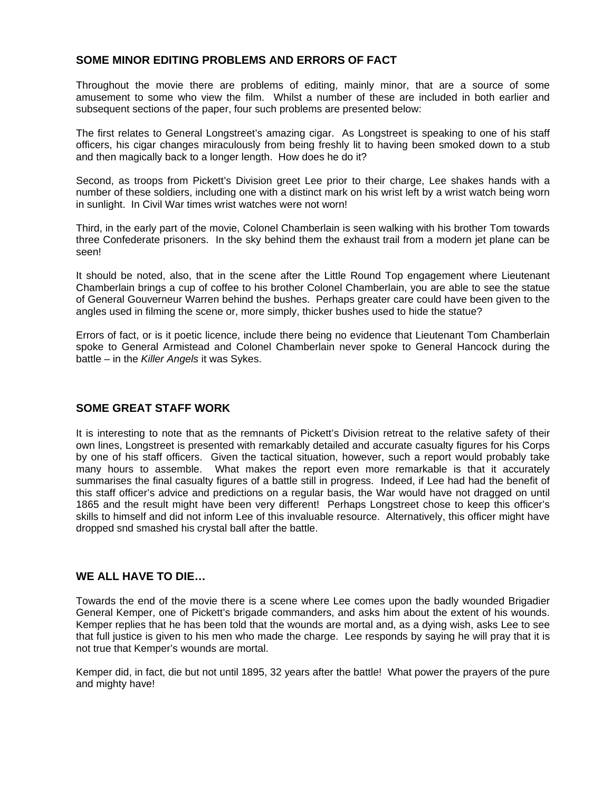## **SOME MINOR EDITING PROBLEMS AND ERRORS OF FACT**

Throughout the movie there are problems of editing, mainly minor, that are a source of some amusement to some who view the film. Whilst a number of these are included in both earlier and subsequent sections of the paper, four such problems are presented below:

The first relates to General Longstreet's amazing cigar. As Longstreet is speaking to one of his staff officers, his cigar changes miraculously from being freshly lit to having been smoked down to a stub and then magically back to a longer length. How does he do it?

Second, as troops from Pickett's Division greet Lee prior to their charge, Lee shakes hands with a number of these soldiers, including one with a distinct mark on his wrist left by a wrist watch being worn in sunlight. In Civil War times wrist watches were not worn!

Third, in the early part of the movie, Colonel Chamberlain is seen walking with his brother Tom towards three Confederate prisoners. In the sky behind them the exhaust trail from a modern jet plane can be seen!

It should be noted, also, that in the scene after the Little Round Top engagement where Lieutenant Chamberlain brings a cup of coffee to his brother Colonel Chamberlain, you are able to see the statue of General Gouverneur Warren behind the bushes. Perhaps greater care could have been given to the angles used in filming the scene or, more simply, thicker bushes used to hide the statue?

Errors of fact, or is it poetic licence, include there being no evidence that Lieutenant Tom Chamberlain spoke to General Armistead and Colonel Chamberlain never spoke to General Hancock during the battle – in the *Killer Angels* it was Sykes.

#### **SOME GREAT STAFF WORK**

It is interesting to note that as the remnants of Pickett's Division retreat to the relative safety of their own lines, Longstreet is presented with remarkably detailed and accurate casualty figures for his Corps by one of his staff officers. Given the tactical situation, however, such a report would probably take many hours to assemble. What makes the report even more remarkable is that it accurately summarises the final casualty figures of a battle still in progress. Indeed, if Lee had had the benefit of this staff officer's advice and predictions on a regular basis, the War would have not dragged on until 1865 and the result might have been very different! Perhaps Longstreet chose to keep this officer's skills to himself and did not inform Lee of this invaluable resource. Alternatively, this officer might have dropped snd smashed his crystal ball after the battle.

#### **WE ALL HAVE TO DIE…**

Towards the end of the movie there is a scene where Lee comes upon the badly wounded Brigadier General Kemper, one of Pickett's brigade commanders, and asks him about the extent of his wounds. Kemper replies that he has been told that the wounds are mortal and, as a dying wish, asks Lee to see that full justice is given to his men who made the charge. Lee responds by saying he will pray that it is not true that Kemper's wounds are mortal.

Kemper did, in fact, die but not until 1895, 32 years after the battle! What power the prayers of the pure and mighty have!